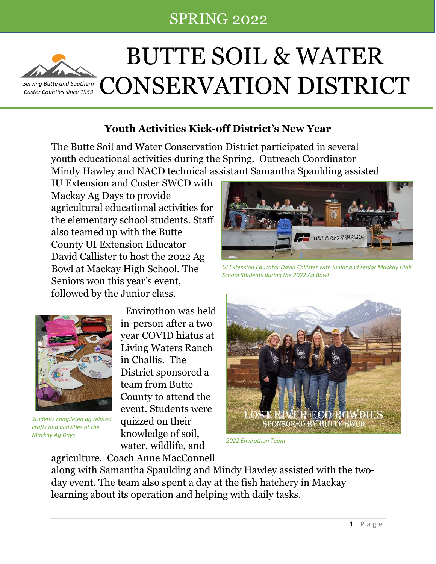# Butter SPRING 2022 • P.O. Box 819, Arco, ISBN 9-814-857, ext. 101 • 101 • butteswitch and the swede.org in the swede



# BUTTE SOIL & WATER *[Serving Butt](http://pngimg.com/download/21590)e and Southern*  $\widehat{C}$  **CONSERVATION DISTRICT**

## **Youth Activities Kick-off District's New Year**

The Butte Soil and Water Conservation District participated in several youth educational activities during the Spring. Outreach Coordinator Mindy Hawley and NACD technical assistant Samantha Spaulding assisted

IU Extension and Custer SWCD with Mackay Ag Days to provide agricultural educational activities for the elementary school students. Staff also teamed up with the Butte County UI Extension Educator David Callister to host the 2022 Ag Bowl at Mackay High School. The Seniors won this year's event, followed by the Junior class.



*Students completed ag related crafts and activities at the Mackay Ag Days*

 Envirothon was held in-person after a twoyear COVID hiatus at Living Waters Ranch in Challis. The District sponsored a team from Butte County to attend the event. Students were quizzed on their knowledge of soil, water, wildlife, and



*UI Extension Educator David Callister with junior and senior Mackay High School Students during the 2022 Ag Bowl*



*2022 Envirothon Team*

agriculture. Coach Anne MacConnell along with Samantha Spaulding and Mindy Hawley assisted with the twoday event. The team also spent a day at the fish hatchery in Mackay learning about its operation and helping with daily tasks.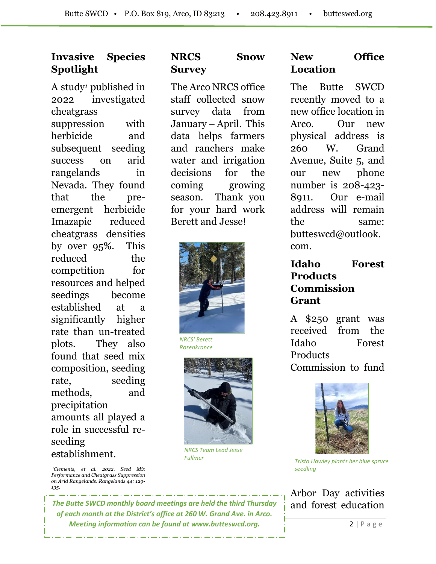#### **Invasive Species Spotlight**

A study*<sup>1</sup>* published in 2022 investigated cheatgrass suppression with herbicide and subsequent seeding success on arid rangelands in Nevada. They found that the preemergent herbicide Imazapic reduced cheatgrass densities by over 95%. This reduced the competition for resources and helped seedings become established at a significantly higher rate than un-treated plots. They also found that seed mix composition, seeding rate, seeding methods, and precipitation amounts all played a role in successful reseeding establishment.

#### **NRCS Snow Survey**

The Arco NRCS office staff collected snow survey data from January – April. This data helps farmers and ranchers make water and irrigation decisions for the coming growing season. Thank you for your hard work Berett and Jesse!



*NRCS' Berett Rosenkrance* 



*NRCS Team Lead Jesse Fullmer* 

#### **New Office Location**

The Butte SWCD recently moved to a new office location in Arco. Our new physical address is 260 W. Grand Avenue, Suite 5, and our new phone number is 208-423- 8911. Our e-mail address will remain the same: [butteswcd@outlook.](mailto:butteswcd@outlook.com) [com.](mailto:butteswcd@outlook.com)

#### **Idaho Forest Products Commission Grant**

A \$250 grant was received from the Idaho Forest Products Commission to fund



*Trista Hawley plants her blue spruce seedling*

Arbor Day activities and forest education

*<sup>1</sup>Clements, et al. 2022. Seed Mix Performance and Cheatgrass Suppression on Arid Rangelands. Rangelands 44: 129- 135.*

*The Butte SWCD monthly board meetings are held the third Thursday of each month at the District's office at 260 W. Grand Ave. in Arco. Meeting information can be found at www.butteswcd.org.*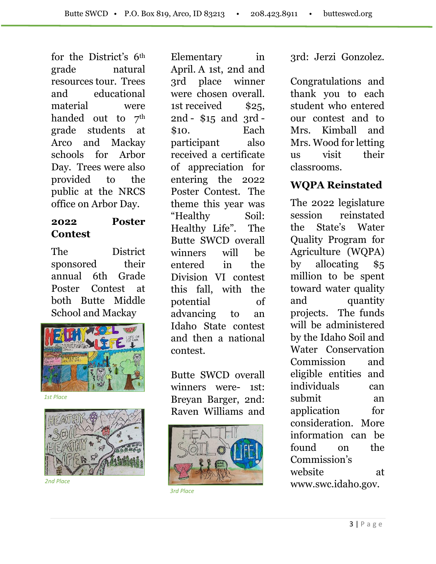for the District's 6th grade natural resources tour. Trees and educational material were handed out to 7<sup>th</sup> grade students at Arco and Mackay schools for Arbor Day. Trees were also provided to the public at the NRCS office on Arbor Day.

#### **2022 Poster Contest**

The District sponsored their annual 6th Grade Poster Contest at both Butte Middle School and Mackay



*1st Place*



*2nd Place*

Elementary in April. A 1st, 2nd and 3rd place winner were chosen overall. 1st received \$25, 2nd - \$15 and 3rd - \$10. Each participant also received a certificate of appreciation for entering the 2022 Poster Contest. The theme this year was "Healthy Soil: Healthy Life". The Butte SWCD overall winners will be entered in the Division VI contest this fall, with the potential of advancing to an Idaho State contest and then a national contest.

Butte SWCD overall winners were- 1st: Breyan Barger, 2nd: Raven Williams and



*3rd Place*

3rd: Jerzi Gonzolez.

Congratulations and thank you to each student who entered our contest and to Mrs. Kimball and Mrs. Wood for letting us visit their classrooms.

# **WQPA Reinstated**

The 2022 legislature session reinstated the State's Water Quality Program for Agriculture (WQPA) by allocating \$5 million to be spent toward water quality and quantity projects. The funds will be administered by the Idaho Soil and Water Conservation Commission and eligible entities and individuals can submit an application for consideration. More information can be found on the Commission's website at [www.swc.idaho.gov.](http://www.swc.idaho.gov/)